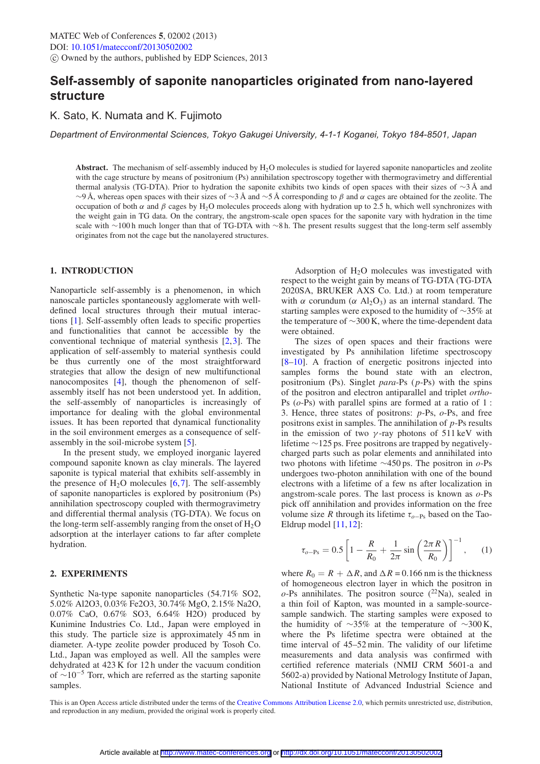# **Self-assembly of saponite nanoparticles originated from nano-layered structure**

K. Sato, K. Numata and K. Fujimoto

*Department of Environmental Sciences, Tokyo Gakugei University, 4-1-1 Koganei, Tokyo 184-8501, Japan*

**Abstract.** The mechanism of self-assembly induced by  $H_2O$  molecules is studied for layered saponite nanoparticles and zeolite with the cage structure by means of positronium (Ps) annihilation spectroscopy together with thermogravimetry and differential thermal analysis (TG-DTA). Prior to hydration the saponite exhibits two kinds of open spaces with their sizes of ∼3Å and  $\sim$ 9 Å, whereas open spaces with their sizes of  $\sim$ 3 Å and  $\sim$ 5 Å corresponding to  $\beta$  and  $\alpha$  cages are obtained for the zeolite. The occupation of both α and β cages by H<sub>2</sub>O molecules proceeds along with hydration up to 2.5 h, which well synchronizes with the weight gain in TG data. On the contrary, the angstrom-scale open spaces for the saponite vary with hydration in the time scale with ∼100 h much longer than that of TG-DTA with ∼8 h. The present results suggest that the long-term self assembly originates from not the cage but the nanolayered structures.

### **1. INTRODUCTION**

Nanoparticle self-assembly is a phenomenon, in which nanoscale particles spontaneously agglomerate with welldefined local structures through their mutual interactions [\[1](#page-1-0)]. Self-assembly often leads to specific properties and functionalities that cannot be accessible by the conventional technique of material synthesis [\[2](#page-1-1),[3\]](#page-1-2). The application of self-assembly to material synthesis could be thus currently one of the most straightforward strategies that allow the design of new multifunctional nanocomposites [\[4\]](#page-1-3), though the phenomenon of selfassembly itself has not been understood yet. In addition, the self-assembly of nanoparticles is increasingly of importance for dealing with the global environmental issues. It has been reported that dynamical functionality in the soil environment emerges as a consequence of selfassembly in the soil-microbe system [\[5\]](#page-1-4).

In the present study, we employed inorganic layered compound saponite known as clay minerals. The layered saponite is typical material that exhibits self-assembly in the presence of  $H_2O$  molecules [\[6,](#page-2-0)[7\]](#page-2-1). The self-assembly of saponite nanoparticles is explored by positronium (Ps) annihilation spectroscopy coupled with thermogravimetry and differential thermal analysis (TG-DTA). We focus on the long-term self-assembly ranging from the onset of  $H_2O$ adsorption at the interlayer cations to far after complete hydration.

# **2. EXPERIMENTS**

Synthetic Na-type saponite nanoparticles (54.71% SO2, 5.02% Al2O3, 0.03% Fe2O3, 30.74% MgO, 2.15% Na2O, 0.07% CaO, 0.67% SO3, 6.64% H2O) produced by Kunimine Industries Co. Ltd., Japan were employed in this study. The particle size is approximately 45 nm in diameter. A-type zeolite powder produced by Tosoh Co. Ltd., Japan was employed as well. All the samples were dehydrated at 423 K for 12 h under the vacuum condition of  $\sim 10^{-5}$  Torr, which are referred as the starting saponite samples.

Adsorption of  $H_2O$  molecules was investigated with respect to the weight gain by means of TG-DTA (TG-DTA 2020SA, BRUKER AXS Co. Ltd.) at room temperature with  $\alpha$  corundum ( $\alpha$  Al<sub>2</sub>O<sub>3</sub>) as an internal standard. The starting samples were exposed to the humidity of ∼35% at the temperature of ∼300 K, where the time-dependent data were obtained.

The sizes of open spaces and their fractions were investigated by Ps annihilation lifetime spectroscopy [\[8](#page-2-2)[–10](#page-2-3)]. A fraction of energetic positrons injected into samples forms the bound state with an electron, positronium (Ps). Singlet *para*-Ps (*p*-Ps) with the spins of the positron and electron antiparallel and triplet *ortho*-Ps (*o*-Ps) with parallel spins are formed at a ratio of 1 : 3. Hence, three states of positrons: *p*-Ps, *o*-Ps, and free positrons exist in samples. The annihilation of *p*-Ps results in the emission of two  $\gamma$ -ray photons of 511 keV with lifetime ∼125 ps. Free positrons are trapped by negativelycharged parts such as polar elements and annihilated into two photons with lifetime ∼450 ps. The positron in *o*-Ps undergoes two-photon annihilation with one of the bound electrons with a lifetime of a few ns after localization in angstrom-scale pores. The last process is known as *o*-Ps pick off annihilation and provides information on the free volume size *R* through its lifetime  $\tau_{o-Ps}$  based on the Tao-Eldrup model [\[11](#page-2-4),[12\]](#page-2-5):

$$
\tau_{o-\text{Ps}} = 0.5 \left[ 1 - \frac{R}{R_0} + \frac{1}{2\pi} \sin\left(\frac{2\pi R}{R_0}\right) \right]^{-1}, \quad (1)
$$

where  $R_0 = R + \Delta R$ , and  $\Delta R = 0.166$  nm is the thickness of homogeneous electron layer in which the positron in  $o$ -Ps annihilates. The positron source  $(^{22}Na)$ , sealed in a thin foil of Kapton, was mounted in a sample-sourcesample sandwich. The starting samples were exposed to the humidity of  $\sim$ 35% at the temperature of  $\sim$ 300 K, where the Ps lifetime spectra were obtained at the time interval of 45–52 min. The validity of our lifetime measurements and data analysis was confirmed with certified reference materials (NMIJ CRM 5601-a and 5602-a) provided by National Metrology Institute of Japan, National Institute of Advanced Industrial Science and

This is an Open Access article distributed under the terms of the [Creative Commons Attribution License 2.0,](http://creativecommons.org/licenses/by/2.0/) which permits unrestricted use, distribution, and reproduction in any medium, provided the original work is properly cited.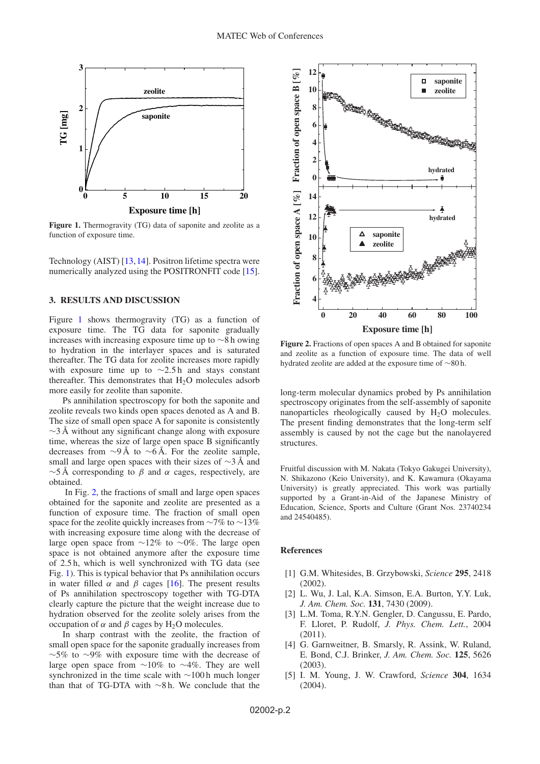<span id="page-1-5"></span>

Figure 1. Thermogravity (TG) data of saponite and zeolite as a function of exposure time.

Technology (AIST) [\[13](#page-2-6),[14\]](#page-2-7). Positron lifetime spectra were numerically analyzed using the POSITRONFIT code [\[15\]](#page-2-8).

#### **3. RESULTS AND DISCUSSION**

Figure [1](#page-1-5) shows thermogravity (TG) as a function of exposure time. The TG data for saponite gradually increases with increasing exposure time up to ∼8 h owing to hydration in the interlayer spaces and is saturated thereafter. The TG data for zeolite increases more rapidly with exposure time up to  $\sim$ 2.5 h and stays constant thereafter. This demonstrates that  $H_2O$  molecules adsorb more easily for zeolite than saponite.

Ps annihilation spectroscopy for both the saponite and zeolite reveals two kinds open spaces denoted as A and B. The size of small open space A for saponite is consistently  $\sim$ 3 Å without any significant change along with exposure time, whereas the size of large open space B significantly decreases from  $\sim$ 9Å to  $\sim$ 6Å. For the zeolite sample, small and large open spaces with their sizes of  $\sim$ 3 Å and  $\sim$ 5 Å corresponding to  $\beta$  and  $\alpha$  cages, respectively, are obtained.

In Fig. [2,](#page-1-6) the fractions of small and large open spaces obtained for the saponite and zeolite are presented as a function of exposure time. The fraction of small open space for the zeolite quickly increases from ∼7% to ∼13% with increasing exposure time along with the decrease of large open space from ∼12% to ∼0%. The large open space is not obtained anymore after the exposure time of 2.5 h, which is well synchronized with TG data (see Fig. [1\)](#page-1-5). This is typical behavior that Ps annihilation occurs in water filled  $\alpha$  and  $\beta$  cages [\[16](#page-2-9)]. The present results of Ps annihilation spectroscopy together with TG-DTA clearly capture the picture that the weight increase due to hydration observed for the zeolite solely arises from the occupation of  $\alpha$  and  $\beta$  cages by H<sub>2</sub>O molecules.

In sharp contrast with the zeolite, the fraction of small open space for the saponite gradually increases from ∼5% to ∼9% with exposure time with the decrease of large open space from ∼10% to ∼4%. They are well synchronized in the time scale with ∼100 h much longer than that of TG-DTA with ∼8 h. We conclude that the

<span id="page-1-6"></span>

**Figure 2.** Fractions of open spaces A and B obtained for saponite and zeolite as a function of exposure time. The data of well hydrated zeolite are added at the exposure time of ∼80 h.

long-term molecular dynamics probed by Ps annihilation spectroscopy originates from the self-assembly of saponite nanoparticles rheologically caused by  $H<sub>2</sub>O$  molecules. The present finding demonstrates that the long-term self assembly is caused by not the cage but the nanolayered structures.

Fruitful discussion with M. Nakata (Tokyo Gakugei University), N. Shikazono (Keio University), and K. Kawamura (Okayama University) is greatly appreciated. This work was partially supported by a Grant-in-Aid of the Japanese Ministry of Education, Science, Sports and Culture (Grant Nos. 23740234 and 24540485).

## **References**

- <span id="page-1-0"></span>[1] G.M. Whitesides, B. Grzybowski, *Science* **295**, 2418  $(2002)$
- <span id="page-1-1"></span>[2] L. Wu, J. Lal, K.A. Simson, E.A. Burton, Y.Y. Luk, *J. Am. Chem. Soc.* **131**, 7430 (2009).
- <span id="page-1-2"></span>[3] L.M. Toma, R.Y.N. Gengler, D. Cangussu, E. Pardo, F. Lloret, P. Rudolf, *J. Phys. Chem. Lett.*, 2004 (2011).
- <span id="page-1-3"></span>[4] G. Garnweitner, B. Smarsly, R. Assink, W. Ruland, E. Bond, C.J. Brinker, *J. Am. Chem. Soc.* **125**, 5626  $(2003)$ .
- <span id="page-1-4"></span>[5] I. M. Young, J. W. Crawford, *Science* **304**, 1634 (2004).